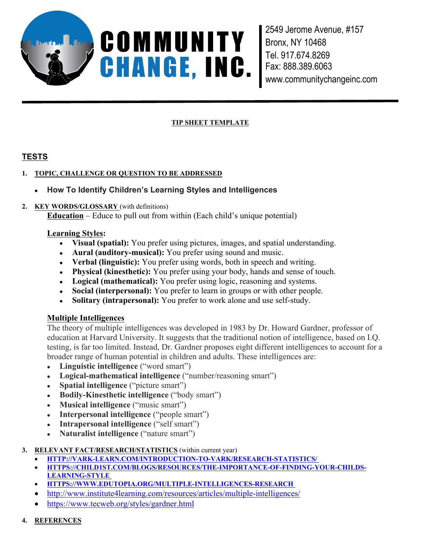

2549 Jerome Avenue, #157 Bronx, NY 10468 Tel. 917.674.8269 Fax: 888.389.6063 www.communitychangeinc.com

#### **TIP SHEET TEMPLATE**

# **TESTS**

## **1. TOPIC, CHALLENGE OR QUESTION TO BE ADDRESSED**

## **How To Identify Children's Learning Styles and Intelligences**

#### **2. KEY WORDS/GLOSSARY** (with definitions)

**Education** – Educe to pull out from within (Each child's unique potential)

#### **Learning Styles:**

- **Visual (spatial):** You prefer using pictures, images, and spatial understanding.
- **Aural (auditory-musical):** You prefer using sound and music.
- **Verbal (linguistic):** You prefer using words, both in speech and writing.
- **Physical (kinesthetic):** You prefer using your body, hands and sense of touch.
- **Logical (mathematical):** You prefer using logic, reasoning and systems.
- **Social (interpersonal):** You prefer to learn in groups or with other people.
- **Solitary (intrapersonal):** You prefer to work alone and use self-study.

## **Multiple Intelligences**

The theory of multiple intelligences was developed in 1983 by Dr. Howard Gardner, professor of education at Harvard University. It suggests that the traditional notion of intelligence, based on I.Q. testing, is far too limited. Instead, Dr. Gardner proposes eight different intelligences to account for a broader range of human potential in children and adults. These intelligences are:

- **Linguistic intelligence** ("word smart")
- **Logical-mathematical intelligence** ("number/reasoning smart")
- **Spatial intelligence** ("picture smart")
- **Bodily-Kinesthetic intelligence** ("body smart")
- **Musical intelligence** ("music smart")
- **Interpersonal intelligence** ("people smart")
- **Intrapersonal intelligence** ("self smart")
- **Naturalist intelligence** ("nature smart")

#### **3. RELEVANT FACT/RESEARCH/STATISTICS** (within current year)

- **HTTP://VARK-LEARN.COM/INTRODUCTION-TO-VARK/RESEARCH-STATISTICS/**
- **HTTPS://CHILD1ST.COM/BLOGS/RESOURCES/THE-IMPORTANCE-OF-FINDING-YOUR-CHILDS-LEARNING-STYLE**
- **HTTPS://WWW.EDUTOPIA.ORG/MULTIPLE-INTELLIGENCES-RESEARCH**
- http://www.institute4learning.com/resources/articles/multiple-intelligences/
- https://www.tecweb.org/styles/gardner.html
- **4. REFERENCES**